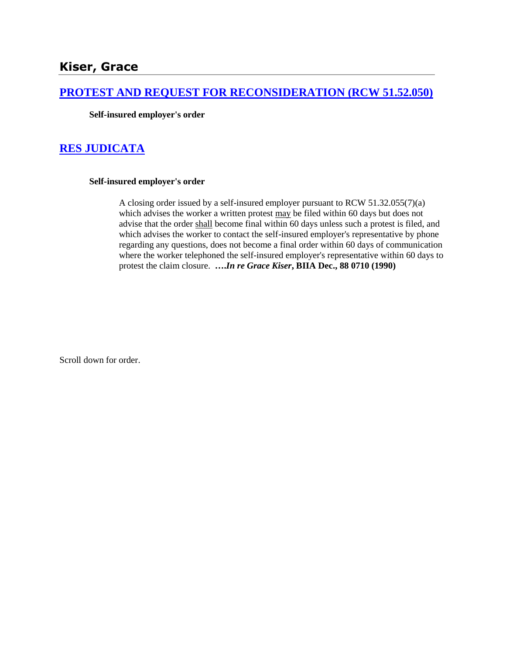# **[PROTEST AND REQUEST FOR RECONSIDERATION \(RCW 51.52.050\)](http://www.biia.wa.gov/SDSubjectIndex.html#PROTEST_AND_REQUEST_FOR_RECONSIDERATION)**

**Self-insured employer's order**

## **[RES JUDICATA](http://www.biia.wa.gov/SDSubjectIndex.html#RES_JUDICATA)**

#### **Self-insured employer's order**

A closing order issued by a self-insured employer pursuant to RCW 51.32.055(7)(a) which advises the worker a written protest may be filed within 60 days but does not advise that the order shall become final within 60 days unless such a protest is filed, and which advises the worker to contact the self-insured employer's representative by phone regarding any questions, does not become a final order within 60 days of communication where the worker telephoned the self-insured employer's representative within 60 days to protest the claim closure. **….***In re Grace Kiser***, BIIA Dec., 88 0710 (1990)** 

Scroll down for order.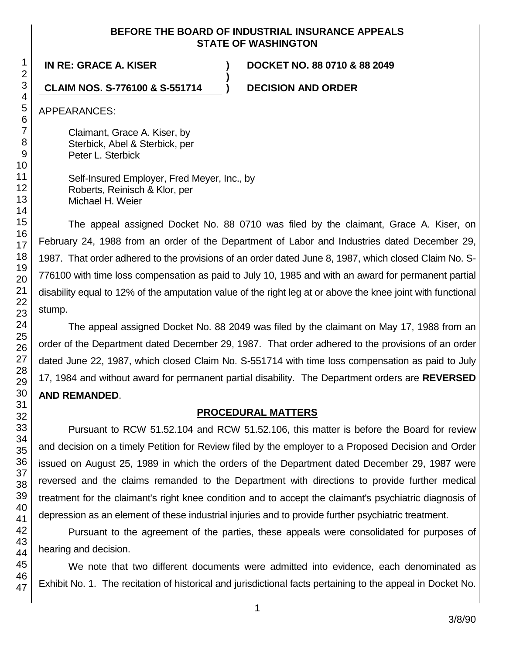#### **BEFORE THE BOARD OF INDUSTRIAL INSURANCE APPEALS STATE OF WASHINGTON**

**)**

**IN RE: GRACE A. KISER ) DOCKET NO. 88 0710 & 88 2049**

### **CLAIM NOS. S-776100 & S-551714 ) DECISION AND ORDER**

APPEARANCES:

Claimant, Grace A. Kiser, by Sterbick, Abel & Sterbick, per Peter L. Sterbick

Self-Insured Employer, Fred Meyer, Inc., by Roberts, Reinisch & Klor, per Michael H. Weier

The appeal assigned Docket No. 88 0710 was filed by the claimant, Grace A. Kiser, on February 24, 1988 from an order of the Department of Labor and Industries dated December 29, 1987. That order adhered to the provisions of an order dated June 8, 1987, which closed Claim No. S-776100 with time loss compensation as paid to July 10, 1985 and with an award for permanent partial disability equal to 12% of the amputation value of the right leg at or above the knee joint with functional stump.

The appeal assigned Docket No. 88 2049 was filed by the claimant on May 17, 1988 from an order of the Department dated December 29, 1987. That order adhered to the provisions of an order dated June 22, 1987, which closed Claim No. S-551714 with time loss compensation as paid to July 17, 1984 and without award for permanent partial disability. The Department orders are **REVERSED AND REMANDED**.

### **PROCEDURAL MATTERS**

Pursuant to RCW 51.52.104 and RCW 51.52.106, this matter is before the Board for review and decision on a timely Petition for Review filed by the employer to a Proposed Decision and Order issued on August 25, 1989 in which the orders of the Department dated December 29, 1987 were reversed and the claims remanded to the Department with directions to provide further medical treatment for the claimant's right knee condition and to accept the claimant's psychiatric diagnosis of depression as an element of these industrial injuries and to provide further psychiatric treatment.

Pursuant to the agreement of the parties, these appeals were consolidated for purposes of hearing and decision.

We note that two different documents were admitted into evidence, each denominated as Exhibit No. 1. The recitation of historical and jurisdictional facts pertaining to the appeal in Docket No.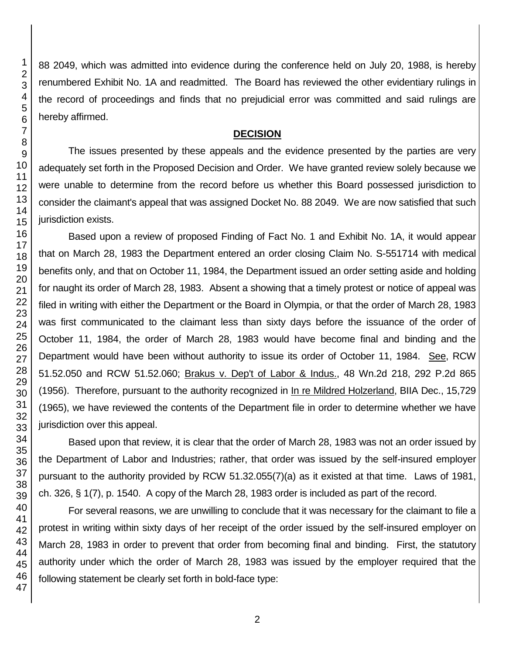88 2049, which was admitted into evidence during the conference held on July 20, 1988, is hereby renumbered Exhibit No. 1A and readmitted. The Board has reviewed the other evidentiary rulings in the record of proceedings and finds that no prejudicial error was committed and said rulings are hereby affirmed.

#### **DECISION**

The issues presented by these appeals and the evidence presented by the parties are very adequately set forth in the Proposed Decision and Order. We have granted review solely because we were unable to determine from the record before us whether this Board possessed jurisdiction to consider the claimant's appeal that was assigned Docket No. 88 2049. We are now satisfied that such jurisdiction exists.

Based upon a review of proposed Finding of Fact No. 1 and Exhibit No. 1A, it would appear that on March 28, 1983 the Department entered an order closing Claim No. S-551714 with medical benefits only, and that on October 11, 1984, the Department issued an order setting aside and holding for naught its order of March 28, 1983. Absent a showing that a timely protest or notice of appeal was filed in writing with either the Department or the Board in Olympia, or that the order of March 28, 1983 was first communicated to the claimant less than sixty days before the issuance of the order of October 11, 1984, the order of March 28, 1983 would have become final and binding and the Department would have been without authority to issue its order of October 11, 1984. See, RCW 51.52.050 and RCW 51.52.060; Brakus v. Dep't of Labor & Indus., 48 Wn.2d 218, 292 P.2d 865 (1956). Therefore, pursuant to the authority recognized in In re Mildred Holzerland, BIIA Dec., 15,729 (1965), we have reviewed the contents of the Department file in order to determine whether we have jurisdiction over this appeal.

Based upon that review, it is clear that the order of March 28, 1983 was not an order issued by the Department of Labor and Industries; rather, that order was issued by the self-insured employer pursuant to the authority provided by RCW 51.32.055(7)(a) as it existed at that time. Laws of 1981, ch. 326, § 1(7), p. 1540. A copy of the March 28, 1983 order is included as part of the record.

For several reasons, we are unwilling to conclude that it was necessary for the claimant to file a protest in writing within sixty days of her receipt of the order issued by the self-insured employer on March 28, 1983 in order to prevent that order from becoming final and binding. First, the statutory authority under which the order of March 28, 1983 was issued by the employer required that the following statement be clearly set forth in bold-face type: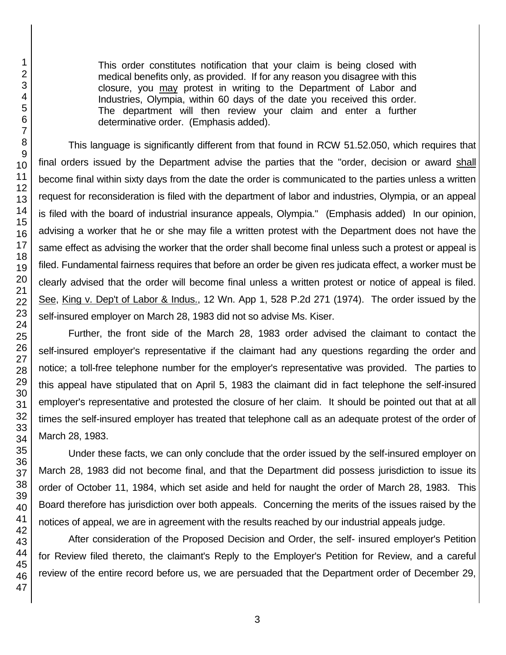This order constitutes notification that your claim is being closed with medical benefits only, as provided. If for any reason you disagree with this closure, you may protest in writing to the Department of Labor and Industries, Olympia, within 60 days of the date you received this order. The department will then review your claim and enter a further determinative order. (Emphasis added).

This language is significantly different from that found in RCW 51.52.050, which requires that final orders issued by the Department advise the parties that the "order, decision or award shall become final within sixty days from the date the order is communicated to the parties unless a written request for reconsideration is filed with the department of labor and industries, Olympia, or an appeal is filed with the board of industrial insurance appeals, Olympia." (Emphasis added) In our opinion, advising a worker that he or she may file a written protest with the Department does not have the same effect as advising the worker that the order shall become final unless such a protest or appeal is filed. Fundamental fairness requires that before an order be given res judicata effect, a worker must be clearly advised that the order will become final unless a written protest or notice of appeal is filed. See, King v. Dep't of Labor & Indus., 12 Wn. App 1, 528 P.2d 271 (1974). The order issued by the self-insured employer on March 28, 1983 did not so advise Ms. Kiser.

Further, the front side of the March 28, 1983 order advised the claimant to contact the self-insured employer's representative if the claimant had any questions regarding the order and notice; a toll-free telephone number for the employer's representative was provided. The parties to this appeal have stipulated that on April 5, 1983 the claimant did in fact telephone the self-insured employer's representative and protested the closure of her claim. It should be pointed out that at all times the self-insured employer has treated that telephone call as an adequate protest of the order of March 28, 1983.

Under these facts, we can only conclude that the order issued by the self-insured employer on March 28, 1983 did not become final, and that the Department did possess jurisdiction to issue its order of October 11, 1984, which set aside and held for naught the order of March 28, 1983. This Board therefore has jurisdiction over both appeals. Concerning the merits of the issues raised by the notices of appeal, we are in agreement with the results reached by our industrial appeals judge.

After consideration of the Proposed Decision and Order, the self- insured employer's Petition for Review filed thereto, the claimant's Reply to the Employer's Petition for Review, and a careful review of the entire record before us, we are persuaded that the Department order of December 29,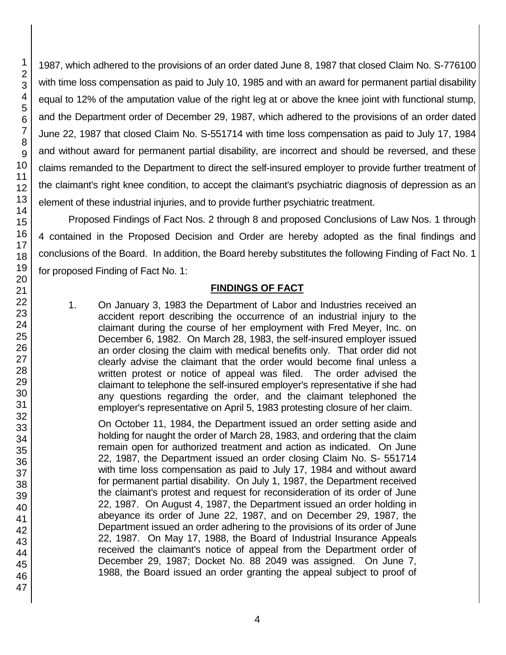1987, which adhered to the provisions of an order dated June 8, 1987 that closed Claim No. S-776100 with time loss compensation as paid to July 10, 1985 and with an award for permanent partial disability equal to 12% of the amputation value of the right leg at or above the knee joint with functional stump, and the Department order of December 29, 1987, which adhered to the provisions of an order dated June 22, 1987 that closed Claim No. S-551714 with time loss compensation as paid to July 17, 1984 and without award for permanent partial disability, are incorrect and should be reversed, and these claims remanded to the Department to direct the self-insured employer to provide further treatment of the claimant's right knee condition, to accept the claimant's psychiatric diagnosis of depression as an element of these industrial injuries, and to provide further psychiatric treatment.

Proposed Findings of Fact Nos. 2 through 8 and proposed Conclusions of Law Nos. 1 through 4 contained in the Proposed Decision and Order are hereby adopted as the final findings and conclusions of the Board. In addition, the Board hereby substitutes the following Finding of Fact No. 1 for proposed Finding of Fact No. 1:

## **FINDINGS OF FACT**

1. On January 3, 1983 the Department of Labor and Industries received an accident report describing the occurrence of an industrial injury to the claimant during the course of her employment with Fred Meyer, Inc. on December 6, 1982. On March 28, 1983, the self-insured employer issued an order closing the claim with medical benefits only. That order did not clearly advise the claimant that the order would become final unless a written protest or notice of appeal was filed. The order advised the claimant to telephone the self-insured employer's representative if she had any questions regarding the order, and the claimant telephoned the employer's representative on April 5, 1983 protesting closure of her claim.

On October 11, 1984, the Department issued an order setting aside and holding for naught the order of March 28, 1983, and ordering that the claim remain open for authorized treatment and action as indicated. On June 22, 1987, the Department issued an order closing Claim No. S- 551714 with time loss compensation as paid to July 17, 1984 and without award for permanent partial disability. On July 1, 1987, the Department received the claimant's protest and request for reconsideration of its order of June 22, 1987. On August 4, 1987, the Department issued an order holding in abeyance its order of June 22, 1987, and on December 29, 1987, the Department issued an order adhering to the provisions of its order of June 22, 1987. On May 17, 1988, the Board of Industrial Insurance Appeals received the claimant's notice of appeal from the Department order of December 29, 1987; Docket No. 88 2049 was assigned. On June 7, 1988, the Board issued an order granting the appeal subject to proof of

1